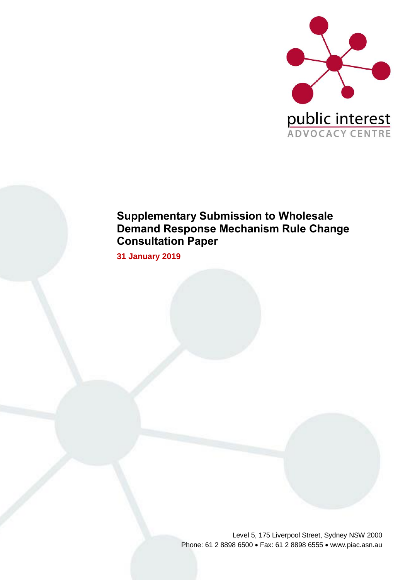

# **Supplementary Submission to Wholesale Demand Response Mechanism Rule Change Consultation Paper**

**31 January 2019**

Level 5, 175 Liverpool Street, Sydney NSW 2000 Phone: 61 2 8898 6500 • Fax: 61 2 8898 6555 • www.piac.asn.au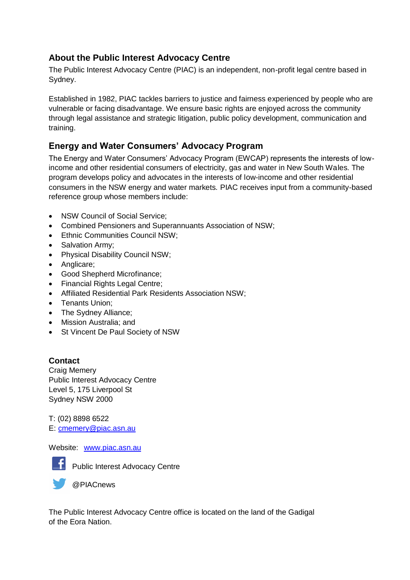# **About the Public Interest Advocacy Centre**

The Public Interest Advocacy Centre (PIAC) is an independent, non-profit legal centre based in Sydney.

Established in 1982, PIAC tackles barriers to justice and fairness experienced by people who are vulnerable or facing disadvantage. We ensure basic rights are enjoyed across the community through legal assistance and strategic litigation, public policy development, communication and training.

# **Energy and Water Consumers' Advocacy Program**

The Energy and Water Consumers' Advocacy Program (EWCAP) represents the interests of lowincome and other residential consumers of electricity, gas and water in New South Wales. The program develops policy and advocates in the interests of low-income and other residential consumers in the NSW energy and water markets. PIAC receives input from a community-based reference group whose members include:

- NSW Council of Social Service:
- Combined Pensioners and Superannuants Association of NSW;
- Ethnic Communities Council NSW;
- Salvation Army;
- Physical Disability Council NSW;
- Anglicare;
- Good Shepherd Microfinance;
- Financial Rights Legal Centre;
- Affiliated Residential Park Residents Association NSW;
- Tenants Union;
- The Sydney Alliance;
- Mission Australia; and
- St Vincent De Paul Society of NSW

# **Contact**

Craig Memery Public Interest Advocacy Centre Level 5, 175 Liverpool St Sydney NSW 2000

T: (02) 8898 6522 E: [cmemery@piac.asn.au](mailto:cmemery@piac.asn.au)

Website: [www.piac.asn.au](http://www.piac.asn.au/)



**Fi** Public Interest Advocacy Centre

@PIACnews

The Public Interest Advocacy Centre office is located on the land of the Gadigal of the Eora Nation.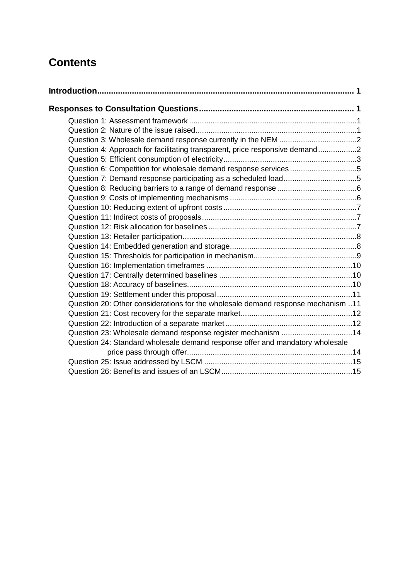# **Contents**

| Question 4: Approach for facilitating transparent, price responsive demand2      |  |
|----------------------------------------------------------------------------------|--|
|                                                                                  |  |
| Question 6: Competition for wholesale demand response services5                  |  |
| Question 7: Demand response participating as a scheduled load5                   |  |
|                                                                                  |  |
|                                                                                  |  |
|                                                                                  |  |
|                                                                                  |  |
|                                                                                  |  |
|                                                                                  |  |
|                                                                                  |  |
|                                                                                  |  |
|                                                                                  |  |
|                                                                                  |  |
|                                                                                  |  |
|                                                                                  |  |
| Question 20: Other considerations for the wholesale demand response mechanism 11 |  |
|                                                                                  |  |
|                                                                                  |  |
| Question 23: Wholesale demand response register mechanism 14                     |  |
| Question 24: Standard wholesale demand response offer and mandatory wholesale    |  |
|                                                                                  |  |
|                                                                                  |  |
|                                                                                  |  |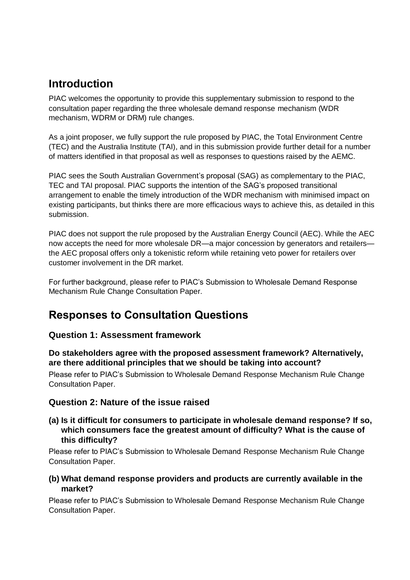# <span id="page-4-0"></span>**Introduction**

PIAC welcomes the opportunity to provide this supplementary submission to respond to the consultation paper regarding the three wholesale demand response mechanism (WDR mechanism, WDRM or DRM) rule changes.

As a joint proposer, we fully support the rule proposed by PIAC, the Total Environment Centre (TEC) and the Australia Institute (TAI), and in this submission provide further detail for a number of matters identified in that proposal as well as responses to questions raised by the AEMC.

PIAC sees the South Australian Government's proposal (SAG) as complementary to the PIAC, TEC and TAI proposal. PIAC supports the intention of the SAG's proposed transitional arrangement to enable the timely introduction of the WDR mechanism with minimised impact on existing participants, but thinks there are more efficacious ways to achieve this, as detailed in this submission.

PIAC does not support the rule proposed by the Australian Energy Council (AEC). While the AEC now accepts the need for more wholesale DR—a major concession by generators and retailers the AEC proposal offers only a tokenistic reform while retaining veto power for retailers over customer involvement in the DR market.

<span id="page-4-1"></span>For further background, please refer to PIAC's Submission to Wholesale Demand Response Mechanism Rule Change Consultation Paper.

# **Responses to Consultation Questions**

# <span id="page-4-2"></span>**Question 1: Assessment framework**

### **Do stakeholders agree with the proposed assessment framework? Alternatively, are there additional principles that we should be taking into account?**

Please refer to PIAC's Submission to Wholesale Demand Response Mechanism Rule Change Consultation Paper.

# <span id="page-4-3"></span>**Question 2: Nature of the issue raised**

**(a) Is it difficult for consumers to participate in wholesale demand response? If so, which consumers face the greatest amount of difficulty? What is the cause of this difficulty?**

Please refer to PIAC's Submission to Wholesale Demand Response Mechanism Rule Change Consultation Paper.

### **(b) What demand response providers and products are currently available in the market?**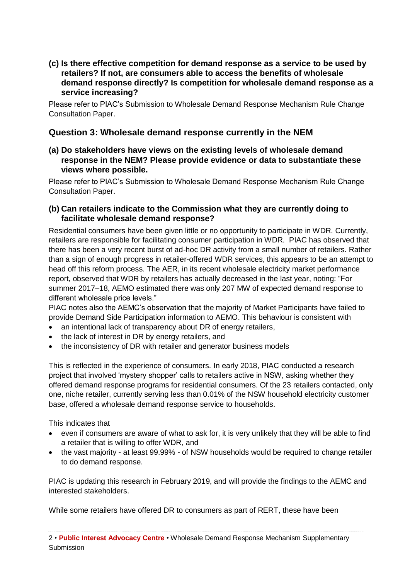**(c) Is there effective competition for demand response as a service to be used by retailers? If not, are consumers able to access the benefits of wholesale demand response directly? Is competition for wholesale demand response as a service increasing?**

Please refer to PIAC's Submission to Wholesale Demand Response Mechanism Rule Change Consultation Paper.

### <span id="page-5-0"></span>**Question 3: Wholesale demand response currently in the NEM**

**(a) Do stakeholders have views on the existing levels of wholesale demand response in the NEM? Please provide evidence or data to substantiate these views where possible.**

Please refer to PIAC's Submission to Wholesale Demand Response Mechanism Rule Change Consultation Paper.

#### **(b) Can retailers indicate to the Commission what they are currently doing to facilitate wholesale demand response?**

<span id="page-5-1"></span>Residential consumers have been given little or no opportunity to participate in WDR. Currently, retailers are responsible for facilitating consumer participation in WDR. PIAC has observed that there has been a very recent burst of ad-hoc DR activity from a small number of retailers. Rather than a sign of enough progress in retailer-offered WDR services, this appears to be an attempt to head off this reform process. The AER, in its recent wholesale electricity market performance report, observed that WDR by retailers has actually decreased in the last year, noting: "For summer 2017–18, AEMO estimated there was only 207 MW of expected demand response to different wholesale price levels."

PIAC notes also the AEMC's observation that the majority of Market Participants have failed to provide Demand Side Participation information to AEMO. This behaviour is consistent with

- an intentional lack of transparency about DR of energy retailers,
- the lack of interest in DR by energy retailers, and
- the inconsistency of DR with retailer and generator business models

This is reflected in the experience of consumers. In early 2018, PIAC conducted a research project that involved 'mystery shopper' calls to retailers active in NSW, asking whether they offered demand response programs for residential consumers. Of the 23 retailers contacted, only one, niche retailer, currently serving less than 0.01% of the NSW household electricity customer base, offered a wholesale demand response service to households.

This indicates that

- even if consumers are aware of what to ask for, it is very unlikely that they will be able to find a retailer that is willing to offer WDR, and
- the vast majority at least 99.99% of NSW households would be required to change retailer to do demand response.

PIAC is updating this research in February 2019, and will provide the findings to the AEMC and interested stakeholders.

While some retailers have offered DR to consumers as part of RERT, these have been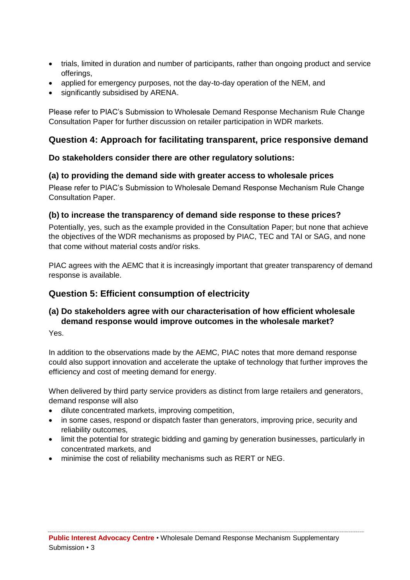- trials, limited in duration and number of participants, rather than ongoing product and service offerings,
- applied for emergency purposes, not the day-to-day operation of the NEM, and
- significantly subsidised by ARENA.

Please refer to PIAC's Submission to Wholesale Demand Response Mechanism Rule Change Consultation Paper for further discussion on retailer participation in WDR markets.

# **Question 4: Approach for facilitating transparent, price responsive demand**

### **Do stakeholders consider there are other regulatory solutions:**

### **(a) to providing the demand side with greater access to wholesale prices**

Please refer to PIAC's Submission to Wholesale Demand Response Mechanism Rule Change Consultation Paper.

### **(b) to increase the transparency of demand side response to these prices?**

Potentially, yes, such as the example provided in the Consultation Paper; but none that achieve the objectives of the WDR mechanisms as proposed by PIAC, TEC and TAI or SAG, and none that come without material costs and/or risks.

PIAC agrees with the AEMC that it is increasingly important that greater transparency of demand response is available.

# <span id="page-6-0"></span>**Question 5: Efficient consumption of electricity**

# **(a) Do stakeholders agree with our characterisation of how efficient wholesale demand response would improve outcomes in the wholesale market?**

Yes.

In addition to the observations made by the AEMC, PIAC notes that more demand response could also support innovation and accelerate the uptake of technology that further improves the efficiency and cost of meeting demand for energy.

When delivered by third party service providers as distinct from large retailers and generators, demand response will also

- dilute concentrated markets, improving competition,
- in some cases, respond or dispatch faster than generators, improving price, security and reliability outcomes,
- limit the potential for strategic bidding and gaming by generation businesses, particularly in concentrated markets, and
- minimise the cost of reliability mechanisms such as RERT or NEG.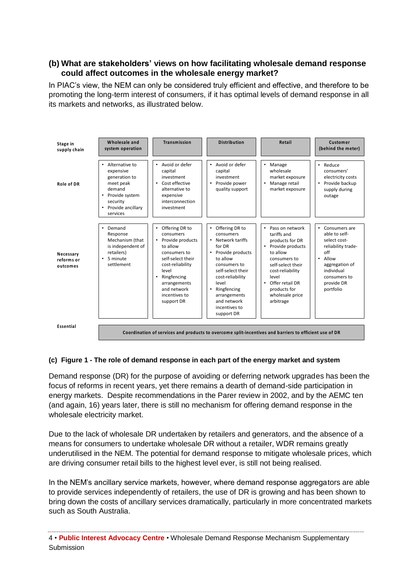### **(b) What are stakeholders' views on how facilitating wholesale demand response could affect outcomes in the wholesale energy market?**

In PIAC's view, the NEM can only be considered truly efficient and effective, and therefore to be promoting the long-term interest of consumers, if it has optimal levels of demand response in all its markets and networks, as illustrated below.



#### **(c) Figure 1 - The role of demand response in each part of the energy market and system**

Demand response (DR) for the purpose of avoiding or deferring network upgrades has been the focus of reforms in recent years, yet there remains a dearth of demand-side participation in energy markets. Despite recommendations in the Parer review in 2002, and by the AEMC ten (and again, 16) years later, there is still no mechanism for offering demand response in the wholesale electricity market.

Due to the lack of wholesale DR undertaken by retailers and generators, and the absence of a means for consumers to undertake wholesale DR without a retailer, WDR remains greatly underutilised in the NEM. The potential for demand response to mitigate wholesale prices, which are driving consumer retail bills to the highest level ever, is still not being realised.

In the NEM's ancillary service markets, however, where demand response aggregators are able to provide services independently of retailers, the use of DR is growing and has been shown to bring down the costs of ancillary services dramatically, particularly in more concentrated markets such as South Australia.

<sup>4</sup> • **Public Interest Advocacy Centre** • Wholesale Demand Response Mechanism Supplementary Submission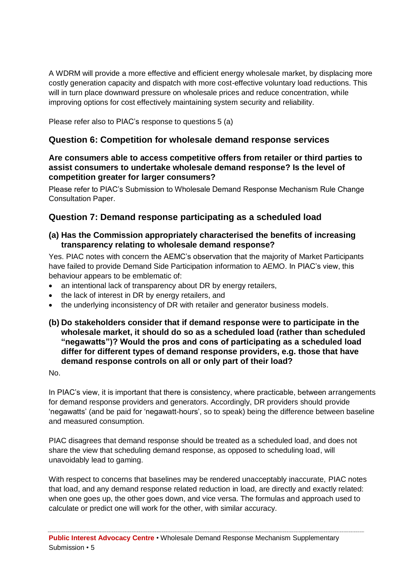A WDRM will provide a more effective and efficient energy wholesale market, by displacing more costly generation capacity and dispatch with more cost-effective voluntary load reductions. This will in turn place downward pressure on wholesale prices and reduce concentration, while improving options for cost effectively maintaining system security and reliability.

Please refer also to PIAC's response to questions 5 (a)

# <span id="page-8-0"></span>**Question 6: Competition for wholesale demand response services**

# **Are consumers able to access competitive offers from retailer or third parties to assist consumers to undertake wholesale demand response? Is the level of competition greater for larger consumers?**

Please refer to PIAC's Submission to Wholesale Demand Response Mechanism Rule Change Consultation Paper.

# <span id="page-8-1"></span>**Question 7: Demand response participating as a scheduled load**

# **(a) Has the Commission appropriately characterised the benefits of increasing transparency relating to wholesale demand response?**

Yes. PIAC notes with concern the AEMC's observation that the majority of Market Participants have failed to provide Demand Side Participation information to AEMO. In PIAC's view, this behaviour appears to be emblematic of:

- an intentional lack of transparency about DR by energy retailers,
- the lack of interest in DR by energy retailers, and
- the underlying inconsistency of DR with retailer and generator business models.

### **(b) Do stakeholders consider that if demand response were to participate in the wholesale market, it should do so as a scheduled load (rather than scheduled "negawatts")? Would the pros and cons of participating as a scheduled load differ for different types of demand response providers, e.g. those that have demand response controls on all or only part of their load?**

No.

In PIAC's view, it is important that there is consistency, where practicable, between arrangements for demand response providers and generators. Accordingly, DR providers should provide 'negawatts' (and be paid for 'negawatt-hours', so to speak) being the difference between baseline and measured consumption.

PIAC disagrees that demand response should be treated as a scheduled load, and does not share the view that scheduling demand response, as opposed to scheduling load, will unavoidably lead to gaming.

With respect to concerns that baselines may be rendered unacceptably inaccurate, PIAC notes that load, and any demand response related reduction in load, are directly and exactly related: when one goes up, the other goes down, and vice versa. The formulas and approach used to calculate or predict one will work for the other, with similar accuracy.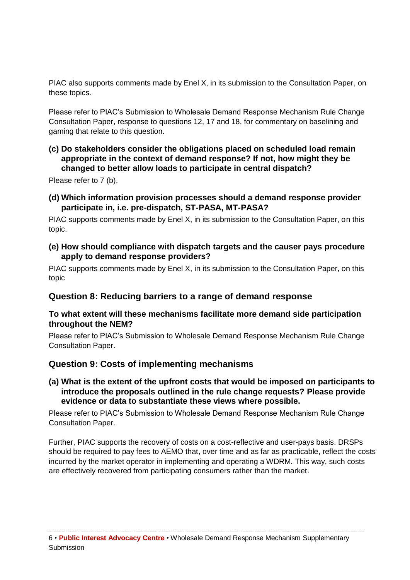PIAC also supports comments made by Enel X, in its submission to the Consultation Paper, on these topics.

Please refer to PIAC's Submission to Wholesale Demand Response Mechanism Rule Change Consultation Paper, response to questions 12, 17 and 18, for commentary on baselining and gaming that relate to this question.

**(c) Do stakeholders consider the obligations placed on scheduled load remain appropriate in the context of demand response? If not, how might they be changed to better allow loads to participate in central dispatch?**

Please refer to 7 (b).

**(d) Which information provision processes should a demand response provider participate in, i.e. pre-dispatch, ST-PASA, MT-PASA?**

PIAC supports comments made by Enel X, in its submission to the Consultation Paper, on this topic.

**(e) How should compliance with dispatch targets and the causer pays procedure apply to demand response providers?**

<span id="page-9-0"></span>PIAC supports comments made by Enel X, in its submission to the Consultation Paper, on this topic

# **Question 8: Reducing barriers to a range of demand response**

#### **To what extent will these mechanisms facilitate more demand side participation throughout the NEM?**

Please refer to PIAC's Submission to Wholesale Demand Response Mechanism Rule Change Consultation Paper.

# <span id="page-9-1"></span>**Question 9: Costs of implementing mechanisms**

**(a) What is the extent of the upfront costs that would be imposed on participants to introduce the proposals outlined in the rule change requests? Please provide evidence or data to substantiate these views where possible.**

Please refer to PIAC's Submission to Wholesale Demand Response Mechanism Rule Change Consultation Paper.

Further, PIAC supports the recovery of costs on a cost-reflective and user-pays basis. DRSPs should be required to pay fees to AEMO that, over time and as far as practicable, reflect the costs incurred by the market operator in implementing and operating a WDRM. This way, such costs are effectively recovered from participating consumers rather than the market.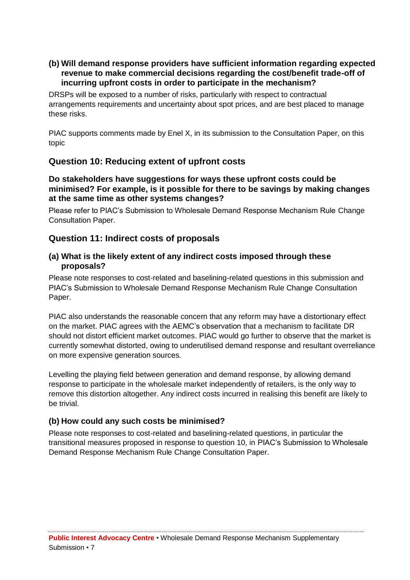# **(b) Will demand response providers have sufficient information regarding expected revenue to make commercial decisions regarding the cost/benefit trade-off of incurring upfront costs in order to participate in the mechanism?**

DRSPs will be exposed to a number of risks, particularly with respect to contractual arrangements requirements and uncertainty about spot prices, and are best placed to manage these risks.

PIAC supports comments made by Enel X, in its submission to the Consultation Paper, on this topic

# <span id="page-10-0"></span>**Question 10: Reducing extent of upfront costs**

#### **Do stakeholders have suggestions for ways these upfront costs could be minimised? For example, is it possible for there to be savings by making changes at the same time as other systems changes?**

Please refer to PIAC's Submission to Wholesale Demand Response Mechanism Rule Change Consultation Paper.

# <span id="page-10-1"></span>**Question 11: Indirect costs of proposals**

#### **(a) What is the likely extent of any indirect costs imposed through these proposals?**

Please note responses to cost-related and baselining-related questions in this submission and PIAC's Submission to Wholesale Demand Response Mechanism Rule Change Consultation Paper.

PIAC also understands the reasonable concern that any reform may have a distortionary effect on the market. PIAC agrees with the AEMC's observation that a mechanism to facilitate DR should not distort efficient market outcomes. PIAC would go further to observe that the market is currently somewhat distorted, owing to underutilised demand response and resultant overreliance on more expensive generation sources.

Levelling the playing field between generation and demand response, by allowing demand response to participate in the wholesale market independently of retailers, is the only way to remove this distortion altogether. Any indirect costs incurred in realising this benefit are likely to be trivial.

# **(b) How could any such costs be minimised?**

<span id="page-10-2"></span>Please note responses to cost-related and baselining-related questions, in particular the transitional measures proposed in response to question 10, in PIAC's Submission to Wholesale Demand Response Mechanism Rule Change Consultation Paper.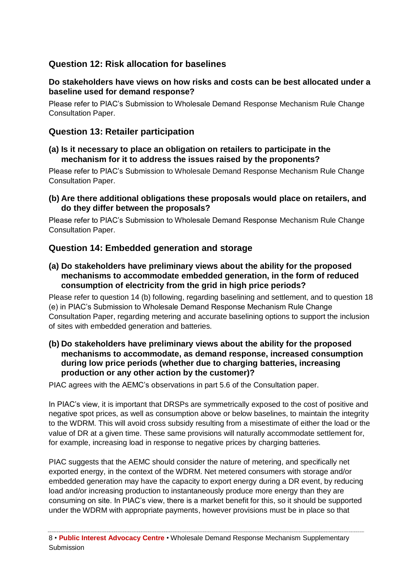# **Question 12: Risk allocation for baselines**

# **Do stakeholders have views on how risks and costs can be best allocated under a baseline used for demand response?**

Please refer to PIAC's Submission to Wholesale Demand Response Mechanism Rule Change Consultation Paper.

# <span id="page-11-0"></span>**Question 13: Retailer participation**

### **(a) Is it necessary to place an obligation on retailers to participate in the mechanism for it to address the issues raised by the proponents?**

Please refer to PIAC's Submission to Wholesale Demand Response Mechanism Rule Change Consultation Paper.

### **(b) Are there additional obligations these proposals would place on retailers, and do they differ between the proposals?**

Please refer to PIAC's Submission to Wholesale Demand Response Mechanism Rule Change Consultation Paper.

# <span id="page-11-1"></span>**Question 14: Embedded generation and storage**

**(a) Do stakeholders have preliminary views about the ability for the proposed mechanisms to accommodate embedded generation, in the form of reduced consumption of electricity from the grid in high price periods?**

Please refer to question 14 (b) following, regarding baselining and settlement, and to question 18 (e) in PIAC's Submission to Wholesale Demand Response Mechanism Rule Change Consultation Paper, regarding metering and accurate baselining options to support the inclusion of sites with embedded generation and batteries.

#### **(b) Do stakeholders have preliminary views about the ability for the proposed mechanisms to accommodate, as demand response, increased consumption during low price periods (whether due to charging batteries, increasing production or any other action by the customer)?**

PIAC agrees with the AEMC's observations in part 5.6 of the Consultation paper.

In PIAC's view, it is important that DRSPs are symmetrically exposed to the cost of positive and negative spot prices, as well as consumption above or below baselines, to maintain the integrity to the WDRM. This will avoid cross subsidy resulting from a misestimate of either the load or the value of DR at a given time. These same provisions will naturally accommodate settlement for, for example, increasing load in response to negative prices by charging batteries.

PIAC suggests that the AEMC should consider the nature of metering, and specifically net exported energy, in the context of the WDRM. Net metered consumers with storage and/or embedded generation may have the capacity to export energy during a DR event, by reducing load and/or increasing production to instantaneously produce more energy than they are consuming on site. In PIAC's view, there is a market benefit for this, so it should be supported under the WDRM with appropriate payments, however provisions must be in place so that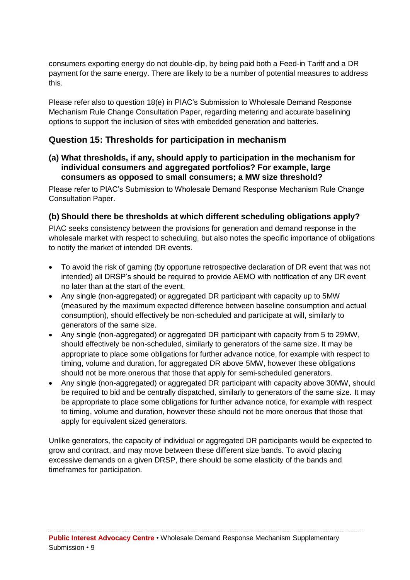consumers exporting energy do not double-dip, by being paid both a Feed-in Tariff and a DR payment for the same energy. There are likely to be a number of potential measures to address this.

Please refer also to question 18(e) in PIAC's Submission to Wholesale Demand Response Mechanism Rule Change Consultation Paper, regarding metering and accurate baselining options to support the inclusion of sites with embedded generation and batteries.

# <span id="page-12-0"></span>**Question 15: Thresholds for participation in mechanism**

**(a) What thresholds, if any, should apply to participation in the mechanism for individual consumers and aggregated portfolios? For example, large consumers as opposed to small consumers; a MW size threshold?**

Please refer to PIAC's Submission to Wholesale Demand Response Mechanism Rule Change Consultation Paper.

#### **(b) Should there be thresholds at which different scheduling obligations apply?**

PIAC seeks consistency between the provisions for generation and demand response in the wholesale market with respect to scheduling, but also notes the specific importance of obligations to notify the market of intended DR events.

- To avoid the risk of gaming (by opportune retrospective declaration of DR event that was not intended) all DRSP's should be required to provide AEMO with notification of any DR event no later than at the start of the event.
- Any single (non-aggregated) or aggregated DR participant with capacity up to 5MW (measured by the maximum expected difference between baseline consumption and actual consumption), should effectively be non-scheduled and participate at will, similarly to generators of the same size.
- Any single (non-aggregated) or aggregated DR participant with capacity from 5 to 29MW, should effectively be non-scheduled, similarly to generators of the same size. It may be appropriate to place some obligations for further advance notice, for example with respect to timing, volume and duration, for aggregated DR above 5MW, however these obligations should not be more onerous that those that apply for semi-scheduled generators.
- Any single (non-aggregated) or aggregated DR participant with capacity above 30MW, should be required to bid and be centrally dispatched, similarly to generators of the same size. It may be appropriate to place some obligations for further advance notice, for example with respect to timing, volume and duration, however these should not be more onerous that those that apply for equivalent sized generators.

Unlike generators, the capacity of individual or aggregated DR participants would be expected to grow and contract, and may move between these different size bands. To avoid placing excessive demands on a given DRSP, there should be some elasticity of the bands and timeframes for participation.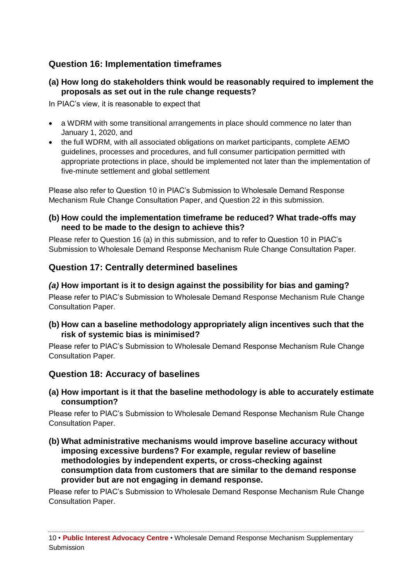# <span id="page-13-0"></span>**Question 16: Implementation timeframes**

# **(a) How long do stakeholders think would be reasonably required to implement the proposals as set out in the rule change requests?**

In PIAC's view, it is reasonable to expect that

- a WDRM with some transitional arrangements in place should commence no later than January 1, 2020, and
- the full WDRM, with all associated obligations on market participants, complete AEMO guidelines, processes and procedures, and full consumer participation permitted with appropriate protections in place, should be implemented not later than the implementation of five-minute settlement and global settlement

Please also refer to Question 10 in PIAC's Submission to Wholesale Demand Response Mechanism Rule Change Consultation Paper, and Question 22 in this submission.

#### **(b) How could the implementation timeframe be reduced? What trade-offs may need to be made to the design to achieve this?**

Please refer to Question 16 (a) in this submission, and to refer to Question 10 in PIAC's Submission to Wholesale Demand Response Mechanism Rule Change Consultation Paper.

# <span id="page-13-1"></span>**Question 17: Centrally determined baselines**

### *(a)* **How important is it to design against the possibility for bias and gaming?**

Please refer to PIAC's Submission to Wholesale Demand Response Mechanism Rule Change Consultation Paper.

### **(b) How can a baseline methodology appropriately align incentives such that the risk of systemic bias is minimised?**

Please refer to PIAC's Submission to Wholesale Demand Response Mechanism Rule Change Consultation Paper*.*

# <span id="page-13-2"></span>**Question 18: Accuracy of baselines**

#### **(a) How important is it that the baseline methodology is able to accurately estimate consumption?**

Please refer to PIAC's Submission to Wholesale Demand Response Mechanism Rule Change Consultation Paper.

**(b) What administrative mechanisms would improve baseline accuracy without imposing excessive burdens? For example, regular review of baseline methodologies by independent experts, or cross-checking against consumption data from customers that are similar to the demand response provider but are not engaging in demand response.**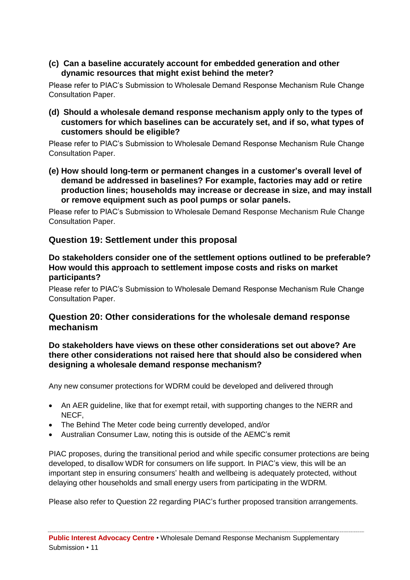**(c) Can a baseline accurately account for embedded generation and other dynamic resources that might exist behind the meter?**

Please refer to PIAC's Submission to Wholesale Demand Response Mechanism Rule Change Consultation Paper.

**(d) Should a wholesale demand response mechanism apply only to the types of customers for which baselines can be accurately set, and if so, what types of customers should be eligible?**

Please refer to PIAC's Submission to Wholesale Demand Response Mechanism Rule Change Consultation Paper.

**(e) How should long-term or permanent changes in a customer's overall level of demand be addressed in baselines? For example, factories may add or retire production lines; households may increase or decrease in size, and may install or remove equipment such as pool pumps or solar panels.**

Please refer to PIAC's Submission to Wholesale Demand Response Mechanism Rule Change Consultation Paper.

# <span id="page-14-0"></span>**Question 19: Settlement under this proposal**

### **Do stakeholders consider one of the settlement options outlined to be preferable? How would this approach to settlement impose costs and risks on market participants?**

<span id="page-14-1"></span>Please refer to PIAC's Submission to Wholesale Demand Response Mechanism Rule Change Consultation Paper.

# **Question 20: Other considerations for the wholesale demand response mechanism**

### **Do stakeholders have views on these other considerations set out above? Are there other considerations not raised here that should also be considered when designing a wholesale demand response mechanism?**

Any new consumer protections for WDRM could be developed and delivered through

- An AER guideline, like that for exempt retail, with supporting changes to the NERR and NECF,
- The Behind The Meter code being currently developed, and/or
- Australian Consumer Law, noting this is outside of the AEMC's remit

PIAC proposes, during the transitional period and while specific consumer protections are being developed, to disallow WDR for consumers on life support. In PIAC's view, this will be an important step in ensuring consumers' health and wellbeing is adequately protected, without delaying other households and small energy users from participating in the WDRM.

Please also refer to Question 22 regarding PIAC's further proposed transition arrangements.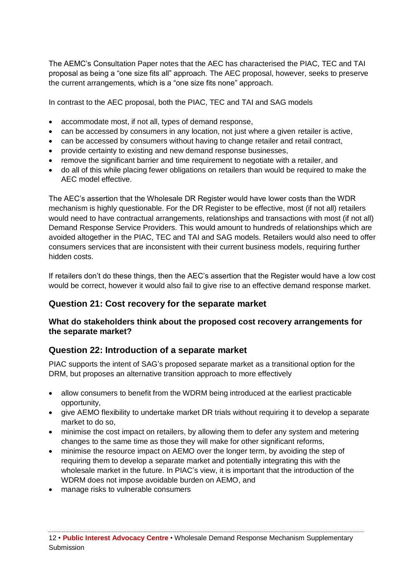The AEMC's Consultation Paper notes that the AEC has characterised the PIAC, TEC and TAI proposal as being a "one size fits all" approach. The AEC proposal, however, seeks to preserve the current arrangements, which is a "one size fits none" approach.

In contrast to the AEC proposal, both the PIAC, TEC and TAI and SAG models

- accommodate most, if not all, types of demand response,
- can be accessed by consumers in any location, not just where a given retailer is active,
- can be accessed by consumers without having to change retailer and retail contract,
- provide certainty to existing and new demand response businesses,
- remove the significant barrier and time requirement to negotiate with a retailer, and
- do all of this while placing fewer obligations on retailers than would be required to make the AEC model effective.

The AEC's assertion that the Wholesale DR Register would have lower costs than the WDR mechanism is highly questionable. For the DR Register to be effective, most (if not all) retailers would need to have contractual arrangements, relationships and transactions with most (if not all) Demand Response Service Providers. This would amount to hundreds of relationships which are avoided altogether in the PIAC, TEC and TAI and SAG models. Retailers would also need to offer consumers services that are inconsistent with their current business models, requiring further hidden costs.

If retailers don't do these things, then the AEC's assertion that the Register would have a low cost would be correct, however it would also fail to give rise to an effective demand response market.

# <span id="page-15-0"></span>**Question 21: Cost recovery for the separate market**

### **What do stakeholders think about the proposed cost recovery arrangements for the separate market?**

# <span id="page-15-1"></span>**Question 22: Introduction of a separate market**

PIAC supports the intent of SAG's proposed separate market as a transitional option for the DRM, but proposes an alternative transition approach to more effectively

- allow consumers to benefit from the WDRM being introduced at the earliest practicable opportunity,
- give AEMO flexibility to undertake market DR trials without requiring it to develop a separate market to do so,
- minimise the cost impact on retailers, by allowing them to defer any system and metering changes to the same time as those they will make for other significant reforms,
- minimise the resource impact on AEMO over the longer term, by avoiding the step of requiring them to develop a separate market and potentially integrating this with the wholesale market in the future. In PIAC's view, it is important that the introduction of the WDRM does not impose avoidable burden on AEMO, and
- manage risks to vulnerable consumers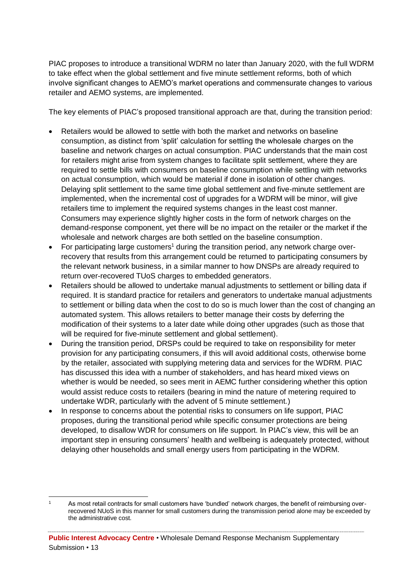PIAC proposes to introduce a transitional WDRM no later than January 2020, with the full WDRM to take effect when the global settlement and five minute settlement reforms, both of which involve significant changes to AEMO's market operations and commensurate changes to various retailer and AEMO systems, are implemented.

The key elements of PIAC's proposed transitional approach are that, during the transition period:

- Retailers would be allowed to settle with both the market and networks on baseline consumption, as distinct from 'split' calculation for settling the wholesale charges on the baseline and network charges on actual consumption. PIAC understands that the main cost for retailers might arise from system changes to facilitate split settlement, where they are required to settle bills with consumers on baseline consumption while settling with networks on actual consumption, which would be material if done in isolation of other changes. Delaying split settlement to the same time global settlement and five-minute settlement are implemented, when the incremental cost of upgrades for a WDRM will be minor, will give retailers time to implement the required systems changes in the least cost manner. Consumers may experience slightly higher costs in the form of network charges on the demand-response component, yet there will be no impact on the retailer or the market if the wholesale and network charges are both settled on the baseline consumption.
- For participating large customers<sup>1</sup> during the transition period, any network charge overrecovery that results from this arrangement could be returned to participating consumers by the relevant network business, in a similar manner to how DNSPs are already required to return over-recovered TUoS charges to embedded generators.
- Retailers should be allowed to undertake manual adjustments to settlement or billing data if required. It is standard practice for retailers and generators to undertake manual adjustments to settlement or billing data when the cost to do so is much lower than the cost of changing an automated system. This allows retailers to better manage their costs by deferring the modification of their systems to a later date while doing other upgrades (such as those that will be required for five-minute settlement and global settlement).
- During the transition period, DRSPs could be required to take on responsibility for meter provision for any participating consumers, if this will avoid additional costs, otherwise borne by the retailer, associated with supplying metering data and services for the WDRM. PIAC has discussed this idea with a number of stakeholders, and has heard mixed views on whether is would be needed, so sees merit in AEMC further considering whether this option would assist reduce costs to retailers (bearing in mind the nature of metering required to undertake WDR, particularly with the advent of 5 minute settlement.)
- In response to concerns about the potential risks to consumers on life support, PIAC proposes, during the transitional period while specific consumer protections are being developed, to disallow WDR for consumers on life support. In PIAC's view, this will be an important step in ensuring consumers' health and wellbeing is adequately protected, without delaying other households and small energy users from participating in the WDRM.

<sup>-</sup>As most retail contracts for small customers have 'bundled' network charges, the benefit of reimbursing overrecovered NUoS in this manner for small customers during the transmission period alone may be exceeded by the administrative cost.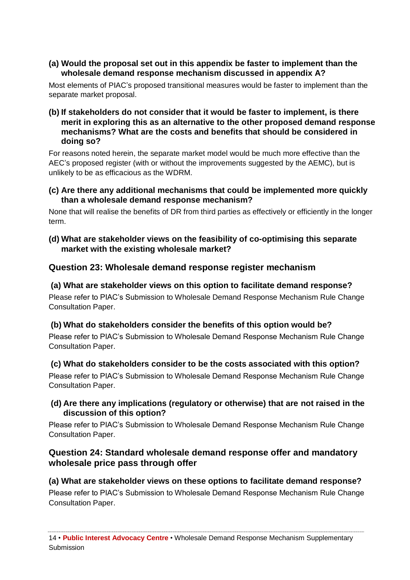# **(a) Would the proposal set out in this appendix be faster to implement than the wholesale demand response mechanism discussed in appendix A?**

Most elements of PIAC's proposed transitional measures would be faster to implement than the separate market proposal.

#### **(b) If stakeholders do not consider that it would be faster to implement, is there merit in exploring this as an alternative to the other proposed demand response mechanisms? What are the costs and benefits that should be considered in doing so?**

For reasons noted herein, the separate market model would be much more effective than the AEC's proposed register (with or without the improvements suggested by the AEMC), but is unlikely to be as efficacious as the WDRM.

### **(c) Are there any additional mechanisms that could be implemented more quickly than a wholesale demand response mechanism?**

None that will realise the benefits of DR from third parties as effectively or efficiently in the longer term.

### **(d) What are stakeholder views on the feasibility of co-optimising this separate market with the existing wholesale market?**

# <span id="page-17-0"></span>**Question 23: Wholesale demand response register mechanism**

# **(a) What are stakeholder views on this option to facilitate demand response?**

Please refer to PIAC's Submission to Wholesale Demand Response Mechanism Rule Change Consultation Paper.

# **(b) What do stakeholders consider the benefits of this option would be?**

Please refer to PIAC's Submission to Wholesale Demand Response Mechanism Rule Change Consultation Paper.

# **(c) What do stakeholders consider to be the costs associated with this option?**

Please refer to PIAC's Submission to Wholesale Demand Response Mechanism Rule Change Consultation Paper.

# **(d) Are there any implications (regulatory or otherwise) that are not raised in the discussion of this option?**

Please refer to PIAC's Submission to Wholesale Demand Response Mechanism Rule Change Consultation Paper.

# <span id="page-17-1"></span>**Question 24: Standard wholesale demand response offer and mandatory wholesale price pass through offer**

# **(a) What are stakeholder views on these options to facilitate demand response?**